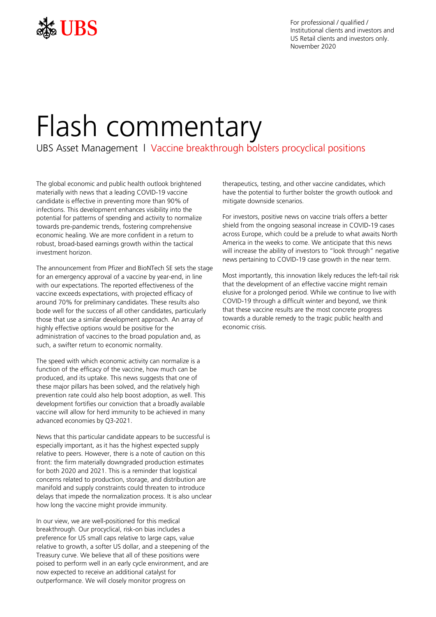

For professional / qualified / Institutional clients and investors and US Retail clients and investors only. November 2020

# Flash commentary

UBS Asset Management | Vaccine breakthrough bolsters procyclical positions

The global economic and public health outlook brightened materially with news that a leading COVID-19 vaccine candidate is effective in preventing more than 90% of infections. This development enhances visibility into the potential for patterns of spending and activity to normalize towards pre-pandemic trends, fostering comprehensive economic healing. We are more confident in a return to robust, broad-based earnings growth within the tactical investment horizon.

The announcement from Pfizer and BioNTech SE sets the stage for an emergency approval of a vaccine by year-end, in line with our expectations. The reported effectiveness of the vaccine exceeds expectations, with projected efficacy of around 70% for preliminary candidates. These results also bode well for the success of all other candidates, particularly those that use a similar development approach. An array of highly effective options would be positive for the administration of vaccines to the broad population and, as such, a swifter return to economic normality.

The speed with which economic activity can normalize is a function of the efficacy of the vaccine, how much can be produced, and its uptake. This news suggests that one of these major pillars has been solved, and the relatively high prevention rate could also help boost adoption, as well. This development fortifies our conviction that a broadly available vaccine will allow for herd immunity to be achieved in many advanced economies by Q3-2021.

News that this particular candidate appears to be successful is especially important, as it has the highest expected supply relative to peers. However, there is a note of caution on this front: the firm materially downgraded production estimates for both 2020 and 2021. This is a reminder that logistical concerns related to production, storage, and distribution are manifold and supply constraints could threaten to introduce delays that impede the normalization process. It is also unclear how long the vaccine might provide immunity.

In our view, we are well-positioned for this medical breakthrough. Our procyclical, risk-on bias includes a preference for US small caps relative to large caps, value relative to growth, a softer US dollar, and a steepening of the Treasury curve. We believe that all of these positions were poised to perform well in an early cycle environment, and are now expected to receive an additional catalyst for outperformance. We will closely monitor progress on

therapeutics, testing, and other vaccine candidates, which have the potential to further bolster the growth outlook and mitigate downside scenarios.

For investors, positive news on vaccine trials offers a better shield from the ongoing seasonal increase in COVID-19 cases across Europe, which could be a prelude to what awaits North America in the weeks to come. We anticipate that this news will increase the ability of investors to "look through" negative news pertaining to COVID-19 case growth in the near term.

Most importantly, this innovation likely reduces the left-tail risk that the development of an effective vaccine might remain elusive for a prolonged period. While we continue to live with COVID-19 through a difficult winter and beyond, we think that these vaccine results are the most concrete progress towards a durable remedy to the tragic public health and economic crisis.